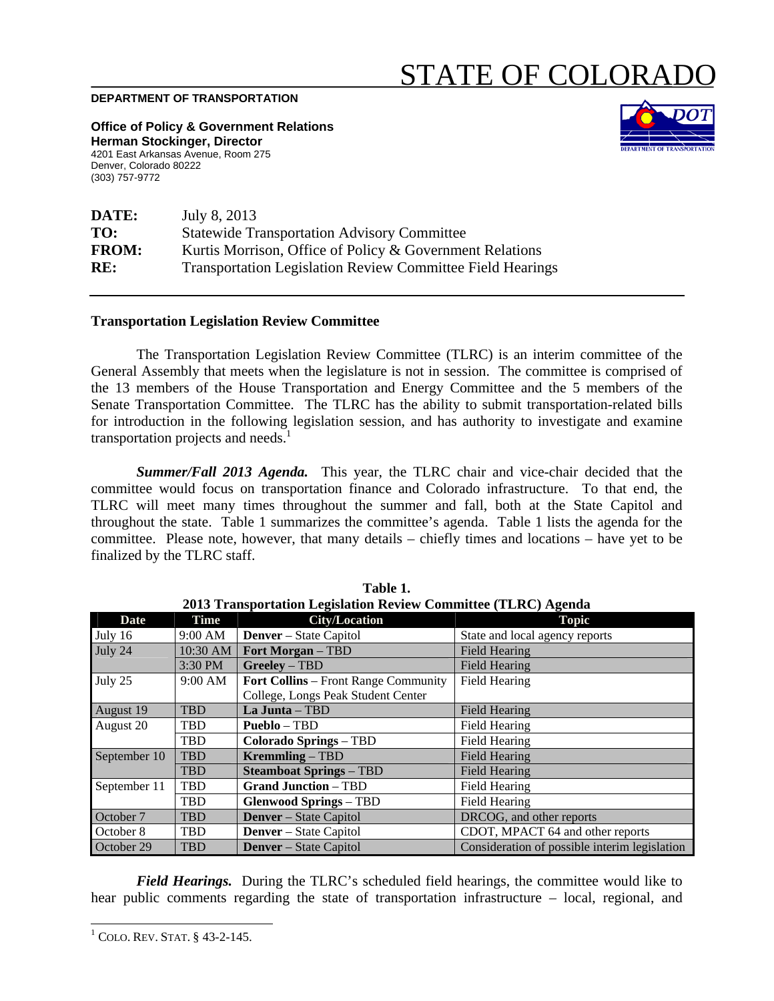## STATE OF COLORAI

## **DEPARTMENT OF TRANSPORTATION**

**Office of Policy & Government Relations Herman Stockinger, Director**  4201 East Arkansas Avenue, Room 275 Denver, Colorado 80222 (303) 757-9772



| DATE:        | July 8, 2013                                                      |  |  |
|--------------|-------------------------------------------------------------------|--|--|
| TO:          | <b>Statewide Transportation Advisory Committee</b>                |  |  |
| <b>FROM:</b> | Kurtis Morrison, Office of Policy & Government Relations          |  |  |
| RE:          | <b>Transportation Legislation Review Committee Field Hearings</b> |  |  |

## **Transportation Legislation Review Committee**

The Transportation Legislation Review Committee (TLRC) is an interim committee of the General Assembly that meets when the legislature is not in session. The committee is comprised of the 13 members of the House Transportation and Energy Committee and the 5 members of the Senate Transportation Committee. The TLRC has the ability to submit transportation-related bills for introduction in the following legislation session, and has authority to investigate and examine transportation projects and needs.<sup>1</sup>

*Summer/Fall 2013 Agenda.* This year, the TLRC chair and vice-chair decided that the committee would focus on transportation finance and Colorado infrastructure. To that end, the TLRC will meet many times throughout the summer and fall, both at the State Capitol and throughout the state. Table 1 summarizes the committee's agenda. Table 1 lists the agenda for the committee. Please note, however, that many details – chiefly times and locations – have yet to be finalized by the TLRC staff.

| 2013 Transportation Legislation Review Committee (TLRC) Agenda |             |                                             |                                               |
|----------------------------------------------------------------|-------------|---------------------------------------------|-----------------------------------------------|
| <b>Date</b>                                                    | <b>Time</b> | <b>City/Location</b>                        | <b>Topic</b>                                  |
| July 16                                                        | 9:00 AM     | <b>Denver</b> – State Capitol               | State and local agency reports                |
| July 24                                                        | 10:30 AM    | <b>Fort Morgan</b> – TBD                    | <b>Field Hearing</b>                          |
|                                                                | 3:30 PM     | Greeley - TBD                               | <b>Field Hearing</b>                          |
| July 25                                                        | 9:00 AM     | <b>Fort Collins</b> – Front Range Community | <b>Field Hearing</b>                          |
|                                                                |             | College, Longs Peak Student Center          |                                               |
| August 19                                                      | <b>TBD</b>  | La Junta - TBD                              | <b>Field Hearing</b>                          |
| August 20                                                      | <b>TBD</b>  | <b>Pueblo</b> – TBD                         | <b>Field Hearing</b>                          |
|                                                                | TBD         | <b>Colorado Springs - TBD</b>               | <b>Field Hearing</b>                          |
| September 10                                                   | <b>TBD</b>  | <b>Kremmling – TBD</b>                      | <b>Field Hearing</b>                          |
|                                                                | <b>TBD</b>  | <b>Steamboat Springs - TBD</b>              | <b>Field Hearing</b>                          |
| September 11                                                   | <b>TBD</b>  | <b>Grand Junction - TBD</b>                 | Field Hearing                                 |
|                                                                | <b>TBD</b>  | <b>Glenwood Springs – TBD</b>               | <b>Field Hearing</b>                          |
| October 7                                                      | <b>TBD</b>  | <b>Denver</b> – State Capitol               | DRCOG, and other reports                      |
| October 8                                                      | <b>TBD</b>  | <b>Denver</b> – State Capitol               | CDOT, MPACT 64 and other reports              |
| October 29                                                     | <b>TBD</b>  | <b>Denver</b> – State Capitol               | Consideration of possible interim legislation |

**Table 1. 2013 Transportation Legislation Review Committee (TLRC) Agenda** 

 *Field Hearings.* During the TLRC's scheduled field hearings, the committee would like to hear public comments regarding the state of transportation infrastructure – local, regional, and

 $\overline{\phantom{a}}$ 

 $1$  COLO. REV. STAT.  $§$  43-2-145.